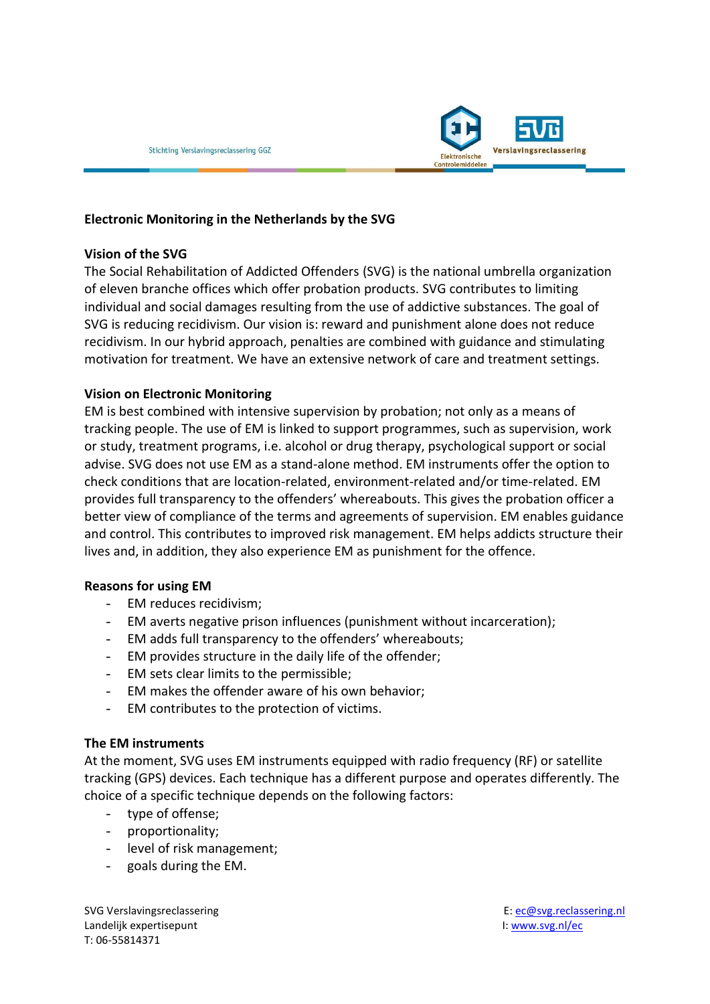

### **Electronic Monitoring in the Netherlands by the SVG**

### **Vision of the SVG**

The Social Rehabilitation of Addicted Offenders (SVG) is the national umbrella organization of eleven branche offices which offer probation products. SVG contributes to limiting individual and social damages resulting from the use of addictive substances. The goal of SVG is reducing recidivism. Our vision is: reward and punishment alone does not reduce recidivism. In our hybrid approach, penalties are combined with guidance and stimulating motivation for treatment. We have an extensive network of care and treatment settings.

# **Vision on Electronic Monitoring**

EM is best combined with intensive supervision by probation; not only as a means of tracking people. The use of EM is linked to support programmes, such as supervision, work or study, treatment programs, i.e. alcohol or drug therapy, psychological support or social advise. SVG does not use EM as a stand-alone method. EM instruments offer the option to check conditions that are location-related, environment-related and/or time-related. EM provides full transparency to the offenders' whereabouts. This gives the probation officer a better view of compliance of the terms and agreements of supervision. EM enables guidance and control. This contributes to improved risk management. EM helps addicts structure their lives and, in addition, they also experience EM as punishment for the offence.

# **Reasons for using EM**

- EM reduces recidivism;
- EM averts negative prison influences (punishment without incarceration);
- EM adds full transparency to the offenders' whereabouts;
- EM provides structure in the daily life of the offender;
- EM sets clear limits to the permissible;
- EM makes the offender aware of his own behavior;
- EM contributes to the protection of victims.

# **The EM instruments**

At the moment, SVG uses EM instruments equipped with radio frequency (RF) or satellite tracking (GPS) devices. Each technique has a different purpose and operates differently. The choice of a specific technique depends on the following factors:

- type of offense;
- proportionality;
- level of risk management;
- goals during the EM.

SVG Verslavingsreclassering example and the state of the state of the state of the state of the state of the state of the state of the state of the state of the state of the state of the state of the state of the state of Landelijk expertisepunt and the state of the state of the state of the state of the state of the state of the state of the state of the state of the state of the state of the state of the state of the state of the state of T: 06-55814371